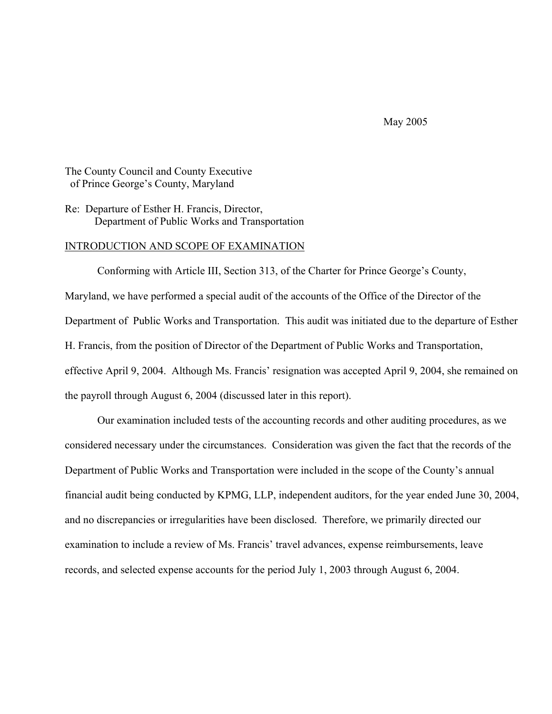May 2005

The County Council and County Executive of Prince George's County, Maryland

Re: Departure of Esther H. Francis, Director, Department of Public Works and Transportation

#### INTRODUCTION AND SCOPE OF EXAMINATION

 Conforming with Article III, Section 313, of the Charter for Prince George's County, Maryland, we have performed a special audit of the accounts of the Office of the Director of the Department of Public Works and Transportation. This audit was initiated due to the departure of Esther H. Francis, from the position of Director of the Department of Public Works and Transportation, effective April 9, 2004. Although Ms. Francis' resignation was accepted April 9, 2004, she remained on the payroll through August 6, 2004 (discussed later in this report).

 Our examination included tests of the accounting records and other auditing procedures, as we considered necessary under the circumstances. Consideration was given the fact that the records of the Department of Public Works and Transportation were included in the scope of the County's annual financial audit being conducted by KPMG, LLP, independent auditors, for the year ended June 30, 2004, and no discrepancies or irregularities have been disclosed. Therefore, we primarily directed our examination to include a review of Ms. Francis' travel advances, expense reimbursements, leave records, and selected expense accounts for the period July 1, 2003 through August 6, 2004.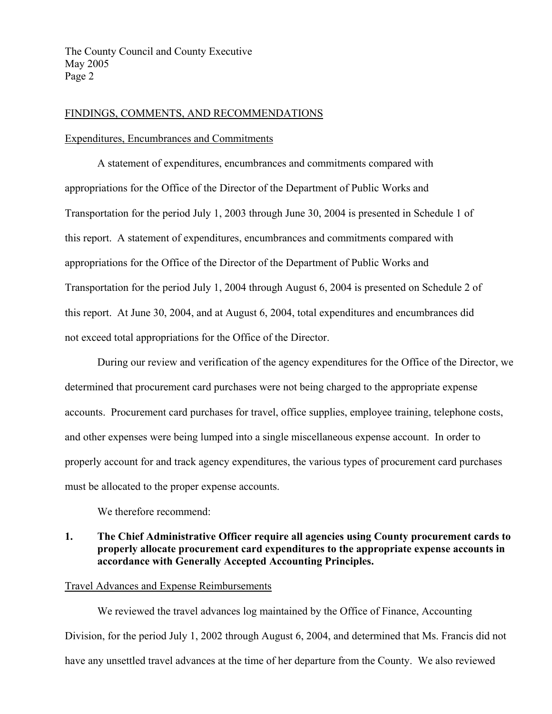#### FINDINGS, COMMENTS, AND RECOMMENDATIONS

#### Expenditures, Encumbrances and Commitments

 A statement of expenditures, encumbrances and commitments compared with appropriations for the Office of the Director of the Department of Public Works and Transportation for the period July 1, 2003 through June 30, 2004 is presented in Schedule 1 of this report. A statement of expenditures, encumbrances and commitments compared with appropriations for the Office of the Director of the Department of Public Works and Transportation for the period July 1, 2004 through August 6, 2004 is presented on Schedule 2 of this report. At June 30, 2004, and at August 6, 2004, total expenditures and encumbrances did not exceed total appropriations for the Office of the Director.

 During our review and verification of the agency expenditures for the Office of the Director, we determined that procurement card purchases were not being charged to the appropriate expense accounts. Procurement card purchases for travel, office supplies, employee training, telephone costs, and other expenses were being lumped into a single miscellaneous expense account. In order to properly account for and track agency expenditures, the various types of procurement card purchases must be allocated to the proper expense accounts.

We therefore recommend:

## **1. The Chief Administrative Officer require all agencies using County procurement cards to properly allocate procurement card expenditures to the appropriate expense accounts in accordance with Generally Accepted Accounting Principles.**

### Travel Advances and Expense Reimbursements

 We reviewed the travel advances log maintained by the Office of Finance, Accounting Division, for the period July 1, 2002 through August 6, 2004, and determined that Ms. Francis did not have any unsettled travel advances at the time of her departure from the County. We also reviewed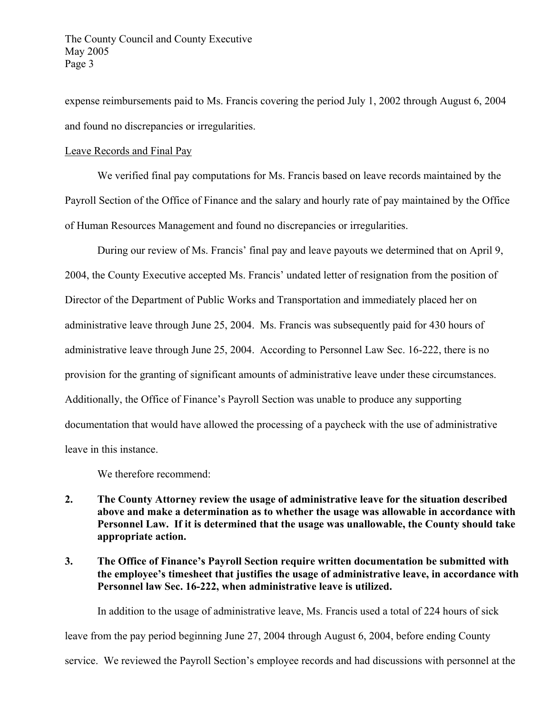expense reimbursements paid to Ms. Francis covering the period July 1, 2002 through August 6, 2004 and found no discrepancies or irregularities.

### Leave Records and Final Pay

 We verified final pay computations for Ms. Francis based on leave records maintained by the Payroll Section of the Office of Finance and the salary and hourly rate of pay maintained by the Office of Human Resources Management and found no discrepancies or irregularities.

 During our review of Ms. Francis' final pay and leave payouts we determined that on April 9, 2004, the County Executive accepted Ms. Francis' undated letter of resignation from the position of Director of the Department of Public Works and Transportation and immediately placed her on administrative leave through June 25, 2004. Ms. Francis was subsequently paid for 430 hours of administrative leave through June 25, 2004. According to Personnel Law Sec. 16-222, there is no provision for the granting of significant amounts of administrative leave under these circumstances. Additionally, the Office of Finance's Payroll Section was unable to produce any supporting documentation that would have allowed the processing of a paycheck with the use of administrative leave in this instance.

We therefore recommend:

- **2. The County Attorney review the usage of administrative leave for the situation described above and make a determination as to whether the usage was allowable in accordance with Personnel Law. If it is determined that the usage was unallowable, the County should take appropriate action.**
- **3. The Office of Finance's Payroll Section require written documentation be submitted with the employee's timesheet that justifies the usage of administrative leave, in accordance with Personnel law Sec. 16-222, when administrative leave is utilized.**

In addition to the usage of administrative leave, Ms. Francis used a total of 224 hours of sick leave from the pay period beginning June 27, 2004 through August 6, 2004, before ending County service. We reviewed the Payroll Section's employee records and had discussions with personnel at the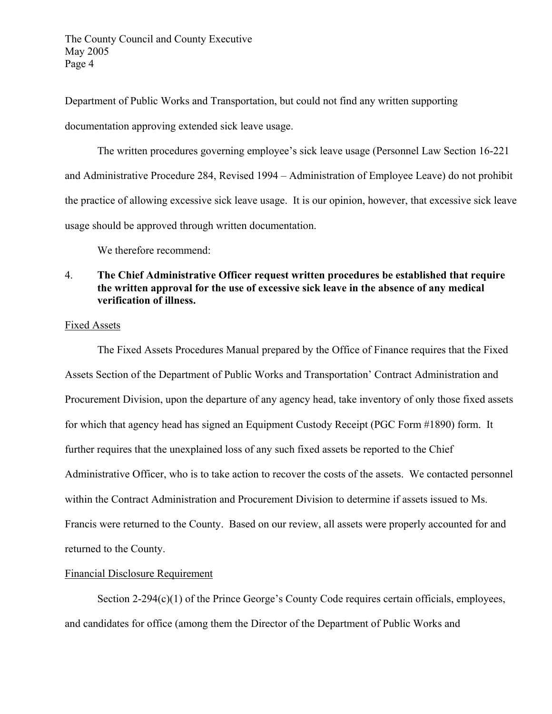The County Council and County Executive May 2005 Page 4

Department of Public Works and Transportation, but could not find any written supporting

documentation approving extended sick leave usage.

The written procedures governing employee's sick leave usage (Personnel Law Section 16-221 and Administrative Procedure 284, Revised 1994 – Administration of Employee Leave) do not prohibit the practice of allowing excessive sick leave usage. It is our opinion, however, that excessive sick leave usage should be approved through written documentation.

We therefore recommend:

## 4. **The Chief Administrative Officer request written procedures be established that require the written approval for the use of excessive sick leave in the absence of any medical verification of illness.**

## Fixed Assets

 The Fixed Assets Procedures Manual prepared by the Office of Finance requires that the Fixed Assets Section of the Department of Public Works and Transportation' Contract Administration and Procurement Division, upon the departure of any agency head, take inventory of only those fixed assets for which that agency head has signed an Equipment Custody Receipt (PGC Form #1890) form. It further requires that the unexplained loss of any such fixed assets be reported to the Chief Administrative Officer, who is to take action to recover the costs of the assets. We contacted personnel within the Contract Administration and Procurement Division to determine if assets issued to Ms. Francis were returned to the County. Based on our review, all assets were properly accounted for and returned to the County.

# Financial Disclosure Requirement

Section 2-294(c)(1) of the Prince George's County Code requires certain officials, employees, and candidates for office (among them the Director of the Department of Public Works and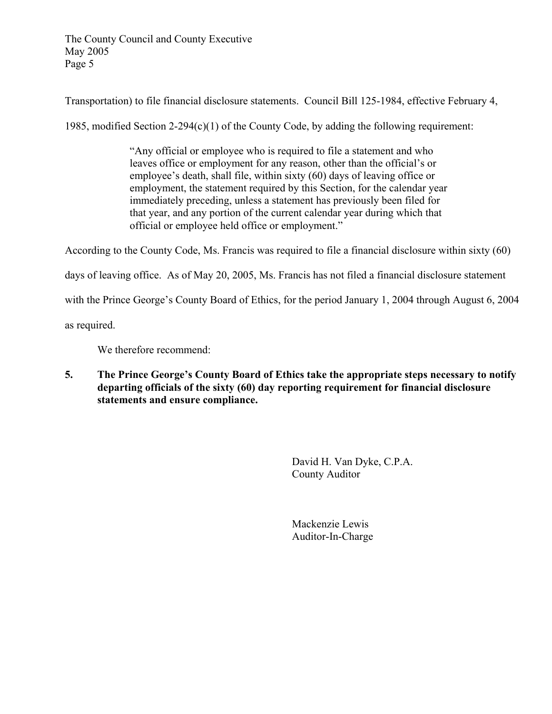The County Council and County Executive May 2005 Page 5

Transportation) to file financial disclosure statements. Council Bill 125-1984, effective February 4,

1985, modified Section  $2-294(c)(1)$  of the County Code, by adding the following requirement:

 "Any official or employee who is required to file a statement and who leaves office or employment for any reason, other than the official's or employee's death, shall file, within sixty (60) days of leaving office or employment, the statement required by this Section, for the calendar year immediately preceding, unless a statement has previously been filed for that year, and any portion of the current calendar year during which that official or employee held office or employment."

According to the County Code, Ms. Francis was required to file a financial disclosure within sixty (60)

days of leaving office. As of May 20, 2005, Ms. Francis has not filed a financial disclosure statement

with the Prince George's County Board of Ethics, for the period January 1, 2004 through August 6, 2004

as required.

We therefore recommend:

**5. The Prince George's County Board of Ethics take the appropriate steps necessary to notify departing officials of the sixty (60) day reporting requirement for financial disclosure statements and ensure compliance.** 

> David H. Van Dyke, C.P.A. County Auditor

 Mackenzie Lewis Auditor-In-Charge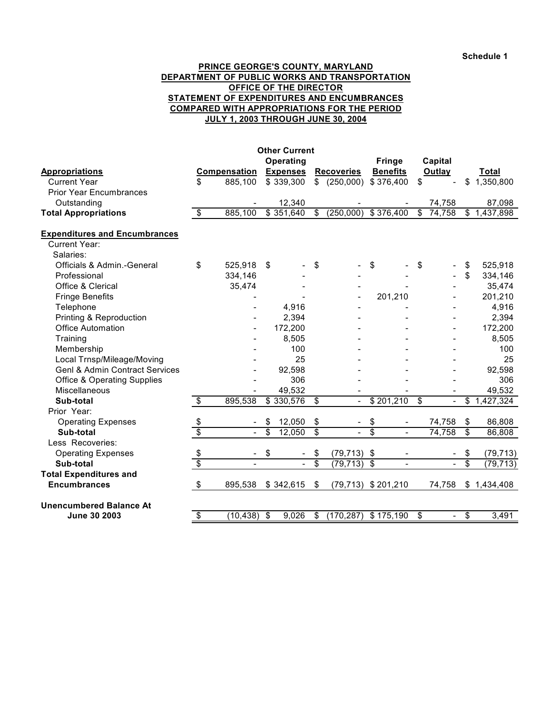**Schedule 1**

#### **PRINCE GEORGE'S COUNTY, MARYLAND DEPARTMENT OF PUBLIC WORKS AND TRANSPORTATION OFFICE OF THE DIRECTOR STATEMENT OF EXPENDITURES AND ENCUMBRANCES COMPARED WITH APPROPRIATIONS FOR THE PERIOD JULY 1, 2003 THROUGH JUNE 30, 2004**

| Operating<br><b>Fringe</b><br>Capital<br><b>Benefits</b><br><b>Compensation</b><br><b>Expenses</b><br>Outlay<br>Total<br><b>Appropriations</b><br><b>Recoveries</b><br><b>Current Year</b><br>\$<br>885,100<br>\$339,300<br>$\mathbb{S}$<br>(250,000)<br>\$376,400<br>\$<br>\$<br>1,350,800<br><b>Prior Year Encumbrances</b><br>12,340<br>87,098<br>Outstanding<br>74,758<br>$\overline{\mathbf{s}}$<br>$(250,000)$ \$ 376,400<br>74,758<br><b>Total Appropriations</b><br>885,100<br>\$351,640<br>\$<br>$\mathbb{S}$<br>\$1,437,898<br><b>Expenditures and Encumbrances</b><br><b>Current Year:</b><br>Salaries:<br>\$<br>Officials & Admin.-General<br>525,918<br>\$<br>\$<br>\$<br>525,918<br>\$<br>\$<br>\$<br>Professional<br>334,146<br>334,146<br>Office & Clerical<br>35,474<br>35,474<br>201,210<br>201,210<br><b>Fringe Benefits</b><br>Telephone<br>4,916<br>4,916<br>Printing & Reproduction<br>2,394<br>2,394<br><b>Office Automation</b><br>172,200<br>172,200<br>8,505<br>Training<br>8,505<br>100<br>Membership<br>100<br>Local Trnsp/Mileage/Moving<br>25<br>25<br><b>Genl &amp; Admin Contract Services</b><br>92,598<br>92,598<br>306<br><b>Office &amp; Operating Supplies</b><br>306<br>Miscellaneous<br>49,532<br>49,532<br>895,538<br>\$330,576<br>\$201,210<br>\$<br>Sub-total<br>\$<br>\$<br>\$<br>1,427,324<br>$\overline{\phantom{0}}$<br>Prior Year:<br>\$<br>12,050<br>\$<br>\$<br>86,808<br><b>Operating Expenses</b><br>\$<br>74,758<br>\$<br>$\overline{\phantom{a}}$<br>$\overline{\$}$<br>$\overline{\$}$<br>\$<br>\$<br>74,758<br>\$<br>Sub-total<br>12,050<br>86,808<br>$\overline{a}$<br>$\overline{a}$<br>$\overline{a}$<br>Less Recoveries:<br>\$<br>\$<br>(79, 713)<br>\$<br>(79, 713)<br><b>Operating Expenses</b><br>\$<br>\$<br>\$<br>\$<br>S<br>$\overline{\mathcal{S}}$<br>Sub-total<br>(79, 713)<br>(79, 713)<br><b>Total Expenditures and</b><br><b>Encumbrances</b><br>$\sqrt[6]{\frac{1}{2}}$<br>895,538<br>\$342,615<br>\$<br>(79, 713)<br>\$201,210<br>74,758<br>\$1,434,408<br><b>Unencumbered Balance At</b><br>(10, 438)<br>9,026<br>(170, 287)<br>June 30 2003<br>$\frac{1}{2}$<br>\$<br>\$175,190<br>\$<br>\$<br>3,491<br>\$ | <b>Other Current</b> |  |  |  |  |  |  |  |  |  |  |  |
|---------------------------------------------------------------------------------------------------------------------------------------------------------------------------------------------------------------------------------------------------------------------------------------------------------------------------------------------------------------------------------------------------------------------------------------------------------------------------------------------------------------------------------------------------------------------------------------------------------------------------------------------------------------------------------------------------------------------------------------------------------------------------------------------------------------------------------------------------------------------------------------------------------------------------------------------------------------------------------------------------------------------------------------------------------------------------------------------------------------------------------------------------------------------------------------------------------------------------------------------------------------------------------------------------------------------------------------------------------------------------------------------------------------------------------------------------------------------------------------------------------------------------------------------------------------------------------------------------------------------------------------------------------------------------------------------------------------------------------------------------------------------------------------------------------------------------------------------------------------------------------------------------------------------------------------------------------------------------------------------------------------------------------------------------------------------------------------------------------------------------------------------------------------------------------------|----------------------|--|--|--|--|--|--|--|--|--|--|--|
|                                                                                                                                                                                                                                                                                                                                                                                                                                                                                                                                                                                                                                                                                                                                                                                                                                                                                                                                                                                                                                                                                                                                                                                                                                                                                                                                                                                                                                                                                                                                                                                                                                                                                                                                                                                                                                                                                                                                                                                                                                                                                                                                                                                       |                      |  |  |  |  |  |  |  |  |  |  |  |
|                                                                                                                                                                                                                                                                                                                                                                                                                                                                                                                                                                                                                                                                                                                                                                                                                                                                                                                                                                                                                                                                                                                                                                                                                                                                                                                                                                                                                                                                                                                                                                                                                                                                                                                                                                                                                                                                                                                                                                                                                                                                                                                                                                                       |                      |  |  |  |  |  |  |  |  |  |  |  |
|                                                                                                                                                                                                                                                                                                                                                                                                                                                                                                                                                                                                                                                                                                                                                                                                                                                                                                                                                                                                                                                                                                                                                                                                                                                                                                                                                                                                                                                                                                                                                                                                                                                                                                                                                                                                                                                                                                                                                                                                                                                                                                                                                                                       |                      |  |  |  |  |  |  |  |  |  |  |  |
|                                                                                                                                                                                                                                                                                                                                                                                                                                                                                                                                                                                                                                                                                                                                                                                                                                                                                                                                                                                                                                                                                                                                                                                                                                                                                                                                                                                                                                                                                                                                                                                                                                                                                                                                                                                                                                                                                                                                                                                                                                                                                                                                                                                       |                      |  |  |  |  |  |  |  |  |  |  |  |
|                                                                                                                                                                                                                                                                                                                                                                                                                                                                                                                                                                                                                                                                                                                                                                                                                                                                                                                                                                                                                                                                                                                                                                                                                                                                                                                                                                                                                                                                                                                                                                                                                                                                                                                                                                                                                                                                                                                                                                                                                                                                                                                                                                                       |                      |  |  |  |  |  |  |  |  |  |  |  |
|                                                                                                                                                                                                                                                                                                                                                                                                                                                                                                                                                                                                                                                                                                                                                                                                                                                                                                                                                                                                                                                                                                                                                                                                                                                                                                                                                                                                                                                                                                                                                                                                                                                                                                                                                                                                                                                                                                                                                                                                                                                                                                                                                                                       |                      |  |  |  |  |  |  |  |  |  |  |  |
|                                                                                                                                                                                                                                                                                                                                                                                                                                                                                                                                                                                                                                                                                                                                                                                                                                                                                                                                                                                                                                                                                                                                                                                                                                                                                                                                                                                                                                                                                                                                                                                                                                                                                                                                                                                                                                                                                                                                                                                                                                                                                                                                                                                       |                      |  |  |  |  |  |  |  |  |  |  |  |
|                                                                                                                                                                                                                                                                                                                                                                                                                                                                                                                                                                                                                                                                                                                                                                                                                                                                                                                                                                                                                                                                                                                                                                                                                                                                                                                                                                                                                                                                                                                                                                                                                                                                                                                                                                                                                                                                                                                                                                                                                                                                                                                                                                                       |                      |  |  |  |  |  |  |  |  |  |  |  |
|                                                                                                                                                                                                                                                                                                                                                                                                                                                                                                                                                                                                                                                                                                                                                                                                                                                                                                                                                                                                                                                                                                                                                                                                                                                                                                                                                                                                                                                                                                                                                                                                                                                                                                                                                                                                                                                                                                                                                                                                                                                                                                                                                                                       |                      |  |  |  |  |  |  |  |  |  |  |  |
|                                                                                                                                                                                                                                                                                                                                                                                                                                                                                                                                                                                                                                                                                                                                                                                                                                                                                                                                                                                                                                                                                                                                                                                                                                                                                                                                                                                                                                                                                                                                                                                                                                                                                                                                                                                                                                                                                                                                                                                                                                                                                                                                                                                       |                      |  |  |  |  |  |  |  |  |  |  |  |
|                                                                                                                                                                                                                                                                                                                                                                                                                                                                                                                                                                                                                                                                                                                                                                                                                                                                                                                                                                                                                                                                                                                                                                                                                                                                                                                                                                                                                                                                                                                                                                                                                                                                                                                                                                                                                                                                                                                                                                                                                                                                                                                                                                                       |                      |  |  |  |  |  |  |  |  |  |  |  |
|                                                                                                                                                                                                                                                                                                                                                                                                                                                                                                                                                                                                                                                                                                                                                                                                                                                                                                                                                                                                                                                                                                                                                                                                                                                                                                                                                                                                                                                                                                                                                                                                                                                                                                                                                                                                                                                                                                                                                                                                                                                                                                                                                                                       |                      |  |  |  |  |  |  |  |  |  |  |  |
|                                                                                                                                                                                                                                                                                                                                                                                                                                                                                                                                                                                                                                                                                                                                                                                                                                                                                                                                                                                                                                                                                                                                                                                                                                                                                                                                                                                                                                                                                                                                                                                                                                                                                                                                                                                                                                                                                                                                                                                                                                                                                                                                                                                       |                      |  |  |  |  |  |  |  |  |  |  |  |
|                                                                                                                                                                                                                                                                                                                                                                                                                                                                                                                                                                                                                                                                                                                                                                                                                                                                                                                                                                                                                                                                                                                                                                                                                                                                                                                                                                                                                                                                                                                                                                                                                                                                                                                                                                                                                                                                                                                                                                                                                                                                                                                                                                                       |                      |  |  |  |  |  |  |  |  |  |  |  |
|                                                                                                                                                                                                                                                                                                                                                                                                                                                                                                                                                                                                                                                                                                                                                                                                                                                                                                                                                                                                                                                                                                                                                                                                                                                                                                                                                                                                                                                                                                                                                                                                                                                                                                                                                                                                                                                                                                                                                                                                                                                                                                                                                                                       |                      |  |  |  |  |  |  |  |  |  |  |  |
|                                                                                                                                                                                                                                                                                                                                                                                                                                                                                                                                                                                                                                                                                                                                                                                                                                                                                                                                                                                                                                                                                                                                                                                                                                                                                                                                                                                                                                                                                                                                                                                                                                                                                                                                                                                                                                                                                                                                                                                                                                                                                                                                                                                       |                      |  |  |  |  |  |  |  |  |  |  |  |
|                                                                                                                                                                                                                                                                                                                                                                                                                                                                                                                                                                                                                                                                                                                                                                                                                                                                                                                                                                                                                                                                                                                                                                                                                                                                                                                                                                                                                                                                                                                                                                                                                                                                                                                                                                                                                                                                                                                                                                                                                                                                                                                                                                                       |                      |  |  |  |  |  |  |  |  |  |  |  |
|                                                                                                                                                                                                                                                                                                                                                                                                                                                                                                                                                                                                                                                                                                                                                                                                                                                                                                                                                                                                                                                                                                                                                                                                                                                                                                                                                                                                                                                                                                                                                                                                                                                                                                                                                                                                                                                                                                                                                                                                                                                                                                                                                                                       |                      |  |  |  |  |  |  |  |  |  |  |  |
|                                                                                                                                                                                                                                                                                                                                                                                                                                                                                                                                                                                                                                                                                                                                                                                                                                                                                                                                                                                                                                                                                                                                                                                                                                                                                                                                                                                                                                                                                                                                                                                                                                                                                                                                                                                                                                                                                                                                                                                                                                                                                                                                                                                       |                      |  |  |  |  |  |  |  |  |  |  |  |
|                                                                                                                                                                                                                                                                                                                                                                                                                                                                                                                                                                                                                                                                                                                                                                                                                                                                                                                                                                                                                                                                                                                                                                                                                                                                                                                                                                                                                                                                                                                                                                                                                                                                                                                                                                                                                                                                                                                                                                                                                                                                                                                                                                                       |                      |  |  |  |  |  |  |  |  |  |  |  |
|                                                                                                                                                                                                                                                                                                                                                                                                                                                                                                                                                                                                                                                                                                                                                                                                                                                                                                                                                                                                                                                                                                                                                                                                                                                                                                                                                                                                                                                                                                                                                                                                                                                                                                                                                                                                                                                                                                                                                                                                                                                                                                                                                                                       |                      |  |  |  |  |  |  |  |  |  |  |  |
|                                                                                                                                                                                                                                                                                                                                                                                                                                                                                                                                                                                                                                                                                                                                                                                                                                                                                                                                                                                                                                                                                                                                                                                                                                                                                                                                                                                                                                                                                                                                                                                                                                                                                                                                                                                                                                                                                                                                                                                                                                                                                                                                                                                       |                      |  |  |  |  |  |  |  |  |  |  |  |
|                                                                                                                                                                                                                                                                                                                                                                                                                                                                                                                                                                                                                                                                                                                                                                                                                                                                                                                                                                                                                                                                                                                                                                                                                                                                                                                                                                                                                                                                                                                                                                                                                                                                                                                                                                                                                                                                                                                                                                                                                                                                                                                                                                                       |                      |  |  |  |  |  |  |  |  |  |  |  |
|                                                                                                                                                                                                                                                                                                                                                                                                                                                                                                                                                                                                                                                                                                                                                                                                                                                                                                                                                                                                                                                                                                                                                                                                                                                                                                                                                                                                                                                                                                                                                                                                                                                                                                                                                                                                                                                                                                                                                                                                                                                                                                                                                                                       |                      |  |  |  |  |  |  |  |  |  |  |  |
|                                                                                                                                                                                                                                                                                                                                                                                                                                                                                                                                                                                                                                                                                                                                                                                                                                                                                                                                                                                                                                                                                                                                                                                                                                                                                                                                                                                                                                                                                                                                                                                                                                                                                                                                                                                                                                                                                                                                                                                                                                                                                                                                                                                       |                      |  |  |  |  |  |  |  |  |  |  |  |
|                                                                                                                                                                                                                                                                                                                                                                                                                                                                                                                                                                                                                                                                                                                                                                                                                                                                                                                                                                                                                                                                                                                                                                                                                                                                                                                                                                                                                                                                                                                                                                                                                                                                                                                                                                                                                                                                                                                                                                                                                                                                                                                                                                                       |                      |  |  |  |  |  |  |  |  |  |  |  |
|                                                                                                                                                                                                                                                                                                                                                                                                                                                                                                                                                                                                                                                                                                                                                                                                                                                                                                                                                                                                                                                                                                                                                                                                                                                                                                                                                                                                                                                                                                                                                                                                                                                                                                                                                                                                                                                                                                                                                                                                                                                                                                                                                                                       |                      |  |  |  |  |  |  |  |  |  |  |  |
|                                                                                                                                                                                                                                                                                                                                                                                                                                                                                                                                                                                                                                                                                                                                                                                                                                                                                                                                                                                                                                                                                                                                                                                                                                                                                                                                                                                                                                                                                                                                                                                                                                                                                                                                                                                                                                                                                                                                                                                                                                                                                                                                                                                       |                      |  |  |  |  |  |  |  |  |  |  |  |
|                                                                                                                                                                                                                                                                                                                                                                                                                                                                                                                                                                                                                                                                                                                                                                                                                                                                                                                                                                                                                                                                                                                                                                                                                                                                                                                                                                                                                                                                                                                                                                                                                                                                                                                                                                                                                                                                                                                                                                                                                                                                                                                                                                                       |                      |  |  |  |  |  |  |  |  |  |  |  |
|                                                                                                                                                                                                                                                                                                                                                                                                                                                                                                                                                                                                                                                                                                                                                                                                                                                                                                                                                                                                                                                                                                                                                                                                                                                                                                                                                                                                                                                                                                                                                                                                                                                                                                                                                                                                                                                                                                                                                                                                                                                                                                                                                                                       |                      |  |  |  |  |  |  |  |  |  |  |  |
|                                                                                                                                                                                                                                                                                                                                                                                                                                                                                                                                                                                                                                                                                                                                                                                                                                                                                                                                                                                                                                                                                                                                                                                                                                                                                                                                                                                                                                                                                                                                                                                                                                                                                                                                                                                                                                                                                                                                                                                                                                                                                                                                                                                       |                      |  |  |  |  |  |  |  |  |  |  |  |
|                                                                                                                                                                                                                                                                                                                                                                                                                                                                                                                                                                                                                                                                                                                                                                                                                                                                                                                                                                                                                                                                                                                                                                                                                                                                                                                                                                                                                                                                                                                                                                                                                                                                                                                                                                                                                                                                                                                                                                                                                                                                                                                                                                                       |                      |  |  |  |  |  |  |  |  |  |  |  |
|                                                                                                                                                                                                                                                                                                                                                                                                                                                                                                                                                                                                                                                                                                                                                                                                                                                                                                                                                                                                                                                                                                                                                                                                                                                                                                                                                                                                                                                                                                                                                                                                                                                                                                                                                                                                                                                                                                                                                                                                                                                                                                                                                                                       |                      |  |  |  |  |  |  |  |  |  |  |  |